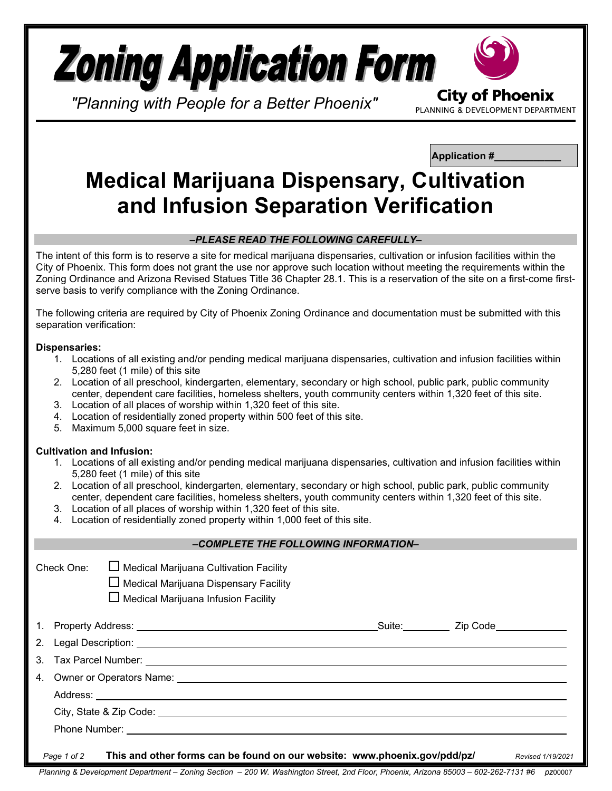

*"Planning with People for a Better Phoenix"*

**Application #\_\_\_\_\_\_\_\_\_\_\_\_**

PLANNING & DEVELOPMENT DEPARTMENT

# **Medical Marijuana Dispensary, Cultivation and Infusion Separation Verification**

### *–PLEASE READ THE FOLLOWING CAREFULLY–*

The intent of this form is to reserve a site for medical marijuana dispensaries, cultivation or infusion facilities within the City of Phoenix. This form does not grant the use nor approve such location without meeting the requirements within the Zoning Ordinance and Arizona Revised Statues Title 36 Chapter 28.1. This is a reservation of the site on a first-come firstserve basis to verify compliance with the Zoning Ordinance.

The following criteria are required by City of Phoenix Zoning Ordinance and documentation must be submitted with this separation verification:

## **Dispensaries:**

- 1. Locations of all existing and/or pending medical marijuana dispensaries, cultivation and infusion facilities within 5,280 feet (1 mile) of this site
- 2. Location of all preschool, kindergarten, elementary, secondary or high school, public park, public community center, dependent care facilities, homeless shelters, youth community centers within 1,320 feet of this site.
- 3. Location of all places of worship within 1,320 feet of this site.
- 4. Location of residentially zoned property within 500 feet of this site.
- 5. Maximum 5,000 square feet in size.

# **Cultivation and Infusion:**

- 1. Locations of all existing and/or pending medical marijuana dispensaries, cultivation and infusion facilities within 5,280 feet (1 mile) of this site
- 2. Location of all preschool, kindergarten, elementary, secondary or high school, public park, public community center, dependent care facilities, homeless shelters, youth community centers within 1,320 feet of this site.
- 3. Location of all places of worship within 1,320 feet of this site.
- 4. Location of residentially zoned property within 1,000 feet of this site.

### *–COMPLETE THE FOLLOWING INFORMATION–*

| Check One: | $\Box$ Medical Marijuana Cultivation Facility |
|------------|-----------------------------------------------|
|            | $\Box$ Modical Marijuano Dianonogru $\Box$    |

Medical Marijuana Dispensary Facility

 $\Box$  Medical Marijuana Infusion Facility

|                                                                                                                                                                                                                                      | Suite: <u>Zip Code</u> |
|--------------------------------------------------------------------------------------------------------------------------------------------------------------------------------------------------------------------------------------|------------------------|
| 2. Legal Description: <u>example and a series of the series of the series of the series of the series of the series of the series of the series of the series of the series of the series of the series of the series of the ser</u> |                        |
|                                                                                                                                                                                                                                      |                        |
|                                                                                                                                                                                                                                      |                        |
|                                                                                                                                                                                                                                      |                        |
|                                                                                                                                                                                                                                      |                        |
|                                                                                                                                                                                                                                      |                        |
| This and other forms can be found on our website: www.phoenix.gov/pdd/pz/<br>Page 1 of 2                                                                                                                                             | Revised 1/19/2021      |

*Planning & Development Department – Zoning Section – 200 W. Washington Street, 2nd Floor, Phoenix, Arizona 85003 – 602-262-7131 #6 pz*00007